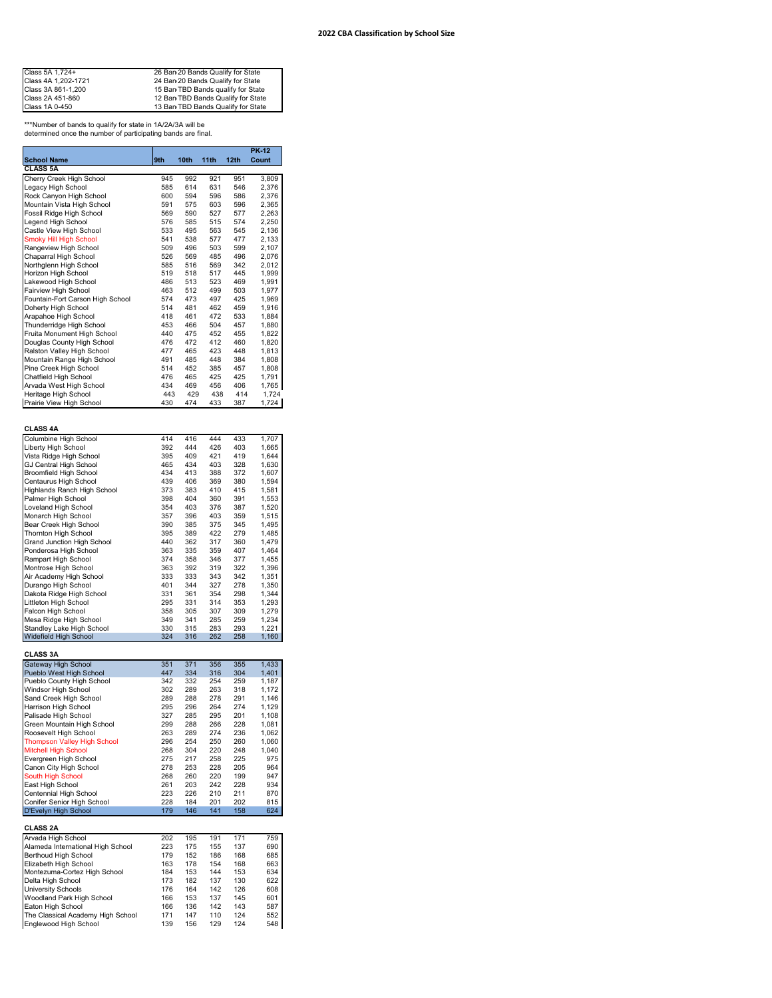| Class 5A 1,724+     | 26 Ban 20 Bands Qualify for State  |
|---------------------|------------------------------------|
| Class 4A 1,202-1721 | 24 Ban 20 Bands Qualify for State  |
| Class 3A 861-1,200  | 15 Ban TBD Bands qualify for State |
| Class 2A 451-860    | 12 Ban TBD Bands Qualify for State |
| Class 1A 0-450      | 13 Ban TBD Bands Qualify for State |

\*\*\*Number of bands to qualify for state in 1A/2A/3A will be determined once the number of participating bands are final.

|                                                    |            |            |            |            | <b>PK-12</b>   |
|----------------------------------------------------|------------|------------|------------|------------|----------------|
| <b>School Name</b>                                 | 9th        | 10th       | 11th       | 12th       | Count          |
| CLASS <sub>5A</sub>                                |            |            |            |            |                |
| Cherry Creek High School                           | 945        | 992        | 921        | 951        | 3,809          |
| Legacy High School                                 | 585        | 614        | 631        | 546        | 2,376          |
| Rock Canyon High School                            | 600        | 594        | 596        | 586        | 2,376          |
| Mountain Vista High School                         | 591        | 575        | 603        | 596        | 2,365          |
| Fossil Ridge High School                           | 569        | 590        | 527        | 577        | 2,263          |
| Legend High School<br>Castle View High School      | 576<br>533 | 585<br>495 | 515<br>563 | 574<br>545 | 2,250<br>2,136 |
| Smoky Hill High School                             | 541        | 538        | 577        | 477        | 2,133          |
| Rangeview High School                              | 509        | 496        | 503        | 599        | 2,107          |
| Chaparral High School                              | 526        | 569        | 485        | 496        | 2,076          |
| Northglenn High School                             | 585        | 516        | 569        | 342        | 2,012          |
| Horizon High School                                | 519        | 518        | 517        | 445        | 1,999          |
| Lakewood High School                               | 486        | 513        | 523        | 469        | 1,991          |
| Fairview High School                               | 463        | 512        | 499        | 503        | 1,977          |
| Fountain-Fort Carson High School                   | 574        | 473        | 497        | 425        | 1,969          |
| Doherty High School                                | 514        | 481        | 462        | 459        | 1,916          |
| Arapahoe High School                               | 418        | 461        | 472        | 533        | 1,884          |
| Thunderridge High School                           | 453        | 466        | 504        | 457        | 1,880          |
| Fruita Monument High School                        | 440        | 475        | 452        | 455        | 1,822          |
| Douglas County High School                         | 476        | 472        | 412        | 460        | 1,820          |
| Ralston Valley High School                         | 477        | 465        | 423        | 448        | 1,813          |
| Mountain Range High School                         | 491        | 485        | 448        | 384        | 1,808          |
| Pine Creek High School                             | 514        | 452        | 385        | 457        | 1,808          |
| Chatfield High School                              | 476        | 465        | 425        | 425        | 1,791          |
| Arvada West High School                            | 434        | 469        | 456        | 406        | 1,765          |
| Heritage High School                               | 443        | 429        | 438        | 414        | 1,724          |
| Prairie View High School                           | 430        | 474        | 433        | 387        | 1,724          |
|                                                    |            |            |            |            |                |
|                                                    |            |            |            |            |                |
| CLASS 4A                                           |            |            |            |            |                |
| Columbine High School                              | 414        | 416        | 444        | 433        | 1,707          |
| Liberty High School                                | 392        | 444        | 426        | 403        | 1,665          |
| Vista Ridge High School                            | 395        | 409        | 421        | 419        | 1,644          |
| GJ Central High School                             | 465        | 434        | 403        | 328        | 1,630          |
| Broomfield High School                             | 434        | 413        | 388        | 372        | 1,607          |
| Centaurus High School                              | 439        | 406        | 369        | 380        | 1,594          |
| Highlands Ranch High School                        | 373        | 383        | 410        | 415        | 1,581          |
| Palmer High School                                 | 398        | 404        | 360        | 391        | 1,553          |
| Loveland High School                               | 354        | 403        | 376        | 387        | 1,520          |
| Monarch High School                                | 357        | 396        | 403        | 359        | 1,515          |
| Bear Creek High School                             | 390        | 385        | 375        | 345        | 1,495          |
| Thornton High School                               | 395        | 389        | 422        | 279        | 1,485          |
| Grand Junction High School                         | 440        | 362        | 317        | 360        | 1,479          |
| Ponderosa High School                              | 363        | 335        | 359        | 407        | 1,464          |
| Rampart High School                                | 374        | 358        | 346        | 377        | 1,455          |
| Montrose High School                               | 363        | 392        | 319        | 322        | 1,396          |
| Air Academy High School                            | 333        | 333        | 343        | 342        | 1,351          |
| Durango High School                                | 401        | 344        | 327        | 278        | 1,350          |
| Dakota Ridge High School                           | 331        | 361        | 354        | 298        | 1,344          |
| Littleton High School                              | 295        | 331        | 314        | 353        | 1,293          |
| Falcon High School                                 | 358        | 305        | 307        | 309        | 1,279          |
| Mesa Ridge High School                             | 349<br>330 | 341<br>315 | 285        | 259<br>293 | 1,234<br>1,221 |
| Standley Lake High School<br>Widefield High School | 324        | 316        | 283<br>262 | 258        | 1,160          |
|                                                    |            |            |            |            |                |
| CLASS 3A                                           |            |            |            |            |                |
| Gateway High School                                | 351        | 371        | 356        | 355        | 1,433          |
| Pueblo West High School                            | 447        | 334        | 316        | 304        | 1,401          |
| Pueblo County High School                          | 342        | 332        | 254        | 259        | 1,187          |
| Windsor High School                                | 302        | 289        | 263        | 318        | 1,172          |
| Sand Creek High School                             | 289        | 288        | 278        | 291        | 1,146          |
| Harrison High School                               | 295        | 296        | 264        | 274        | 1.129          |
| Palisade High School                               | 327        | 285        | 295        | 201        | 1,108          |
| Green Mountain High School                         | 299        | 288        | 266        | 228        | 1,081          |
| Roosevelt High School                              | 263        | 289        | 274        | 236        | 1,062          |
| <b>Thompson Valley High School</b>                 | 296        | 254        | 250        | 260        | 1,060          |
| Mitchell High School                               | 268        | 304        | 220        | 248        | 1,040          |
| Evergreen High School                              | 275        | 217        | 258        | 225        | 975            |
| Canon City High School                             | 278        | 253        | 228        | 205        | 964            |
| South High School                                  | 268        | 260        | 220        | 199        | 947            |
| East High School                                   | 261        | 203        | 242        | 228        | 934            |
| Centennial High School                             | 223        | 226        | 210        | 211        | 870            |
| Conifer Senior High School                         | 228        | 184        | 201        | 202        | 815            |
| D'Evelyn High School                               | 179        | 146        | 141        | 158        | 624            |
|                                                    |            |            |            |            |                |
| <b>CLASS 2A</b>                                    |            |            |            |            |                |
| Arvada High School                                 | 202        | 195        | 191        | 171        | 759            |
| Alameda International High School                  | 223        | 175        | 155        | 137        | 690            |
| Berthoud High School                               | 179        | 152        | 186        | 168        | 685            |
| Elizabeth High School                              | 163        | 178        | 154        | 168        | 663            |
| Montezuma-Cortez High School                       | 184        | 153        | 144        | 153        | 634            |
| Delta High School                                  | 173        | 182        | 137        | 130        | 622            |
| University Schools                                 | 176        | 164        | 142        | 126        | 608            |
| Woodland Park High School                          | 166        | 153        | 137        | 145        | 601            |
| Eaton High School                                  | 166        | 136        | 142        | 143        | 587            |
| The Classical Academy High School                  | 171        | 147        | 110        | 124        | 552            |
| Englewood High School                              | 139        | 156        | 129        | 124        | 548            |